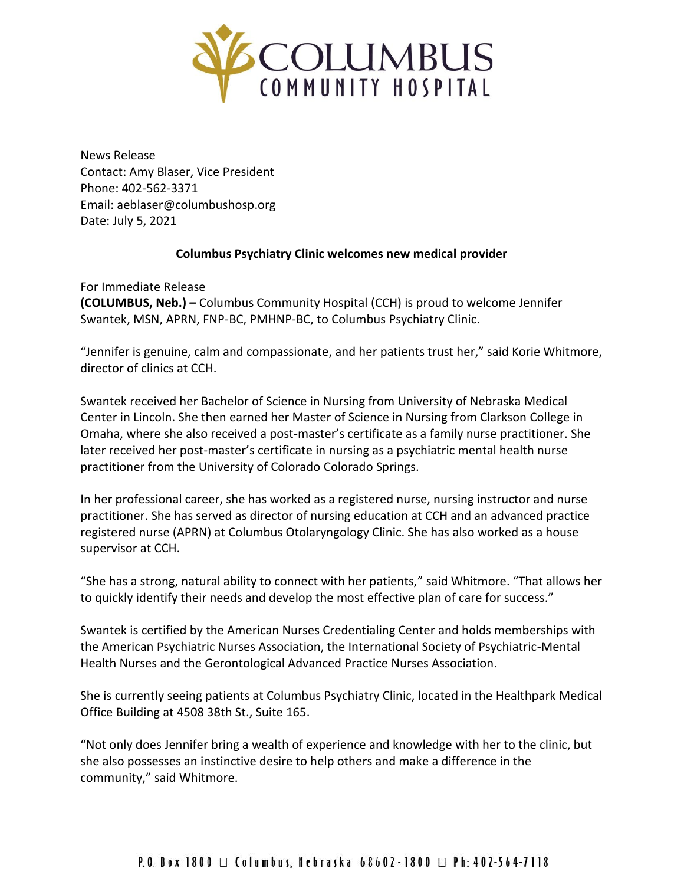

News Release Contact: Amy Blaser, Vice President Phone: 402-562-3371 Email: [aeblaser@columbushosp.org](mailto:aeblaser@columbushosp.org) Date: July 5, 2021

## **Columbus Psychiatry Clinic welcomes new medical provider**

For Immediate Release **(COLUMBUS, Neb.) –** Columbus Community Hospital (CCH) is proud to welcome Jennifer Swantek, MSN, APRN, FNP-BC, PMHNP-BC, to Columbus Psychiatry Clinic.

"Jennifer is genuine, calm and compassionate, and her patients trust her," said Korie Whitmore, director of clinics at CCH.

Swantek received her Bachelor of Science in Nursing from University of Nebraska Medical Center in Lincoln. She then earned her Master of Science in Nursing from Clarkson College in Omaha, where she also received a post-master's certificate as a family nurse practitioner. She later received her post-master's certificate in nursing as a psychiatric mental health nurse practitioner from the University of Colorado Colorado Springs.

In her professional career, she has worked as a registered nurse, nursing instructor and nurse practitioner. She has served as director of nursing education at CCH and an advanced practice registered nurse (APRN) at Columbus Otolaryngology Clinic. She has also worked as a house supervisor at CCH.

"She has a strong, natural ability to connect with her patients," said Whitmore. "That allows her to quickly identify their needs and develop the most effective plan of care for success."

Swantek is certified by the American Nurses Credentialing Center and holds memberships with the American Psychiatric Nurses Association, the International Society of Psychiatric-Mental Health Nurses and the Gerontological Advanced Practice Nurses Association.

She is currently seeing patients at Columbus Psychiatry Clinic, located in the Healthpark Medical Office Building at 4508 38th St., Suite 165.

"Not only does Jennifer bring a wealth of experience and knowledge with her to the clinic, but she also possesses an instinctive desire to help others and make a difference in the community," said Whitmore.